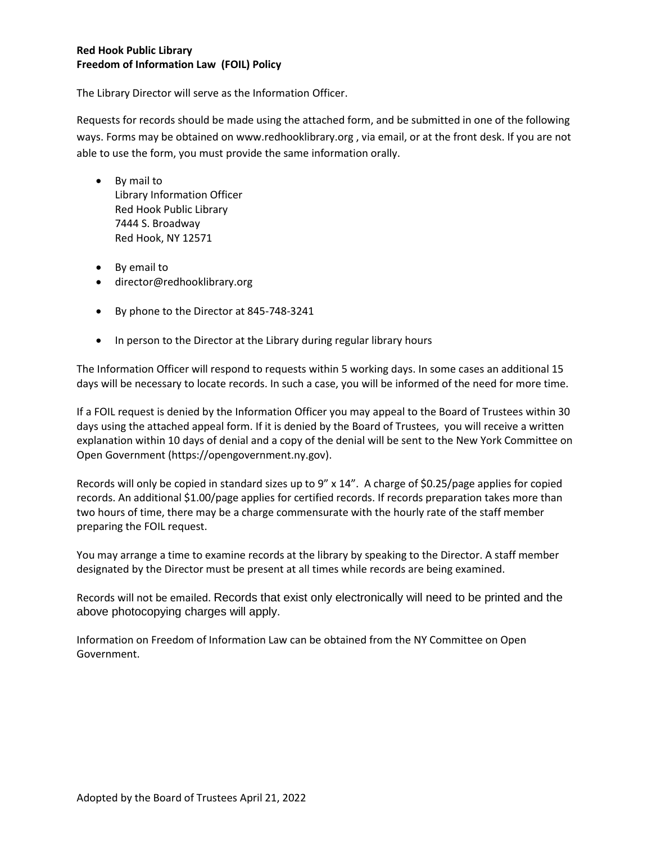## **Red Hook Public Library Freedom of Information Law (FOIL) Policy**

The Library Director will serve as the Information Officer.

Requests for records should be made using the attached form, and be submitted in one of the following ways. Forms may be obtained on www.redhooklibrary.org , via email, or at the front desk. If you are not able to use the form, you must provide the same information orally.

- By mail to Library Information Officer Red Hook Public Library 7444 S. Broadway Red Hook, NY 12571
- By email to
- director@redhooklibrary.org
- By phone to the Director at 845-748-3241
- In person to the Director at the Library during regular library hours

The Information Officer will respond to requests within 5 working days. In some cases an additional 15 days will be necessary to locate records. In such a case, you will be informed of the need for more time.

If a FOIL request is denied by the Information Officer you may appeal to the Board of Trustees within 30 days using the attached appeal form. If it is denied by the Board of Trustees, you will receive a written explanation within 10 days of denial and a copy of the denial will be sent to the New York Committee on Open Government (https://opengovernment.ny.gov).

Records will only be copied in standard sizes up to 9" x 14". A charge of \$0.25/page applies for copied records. An additional \$1.00/page applies for certified records. If records preparation takes more than two hours of time, there may be a charge commensurate with the hourly rate of the staff member preparing the FOIL request.

You may arrange a time to examine records at the library by speaking to the Director. A staff member designated by the Director must be present at all times while records are being examined.

Records will not be emailed. Records that exist only electronically will need to be printed and the above photocopying charges will apply.

Information on Freedom of Information Law can be obtained from the NY Committee on Open Government.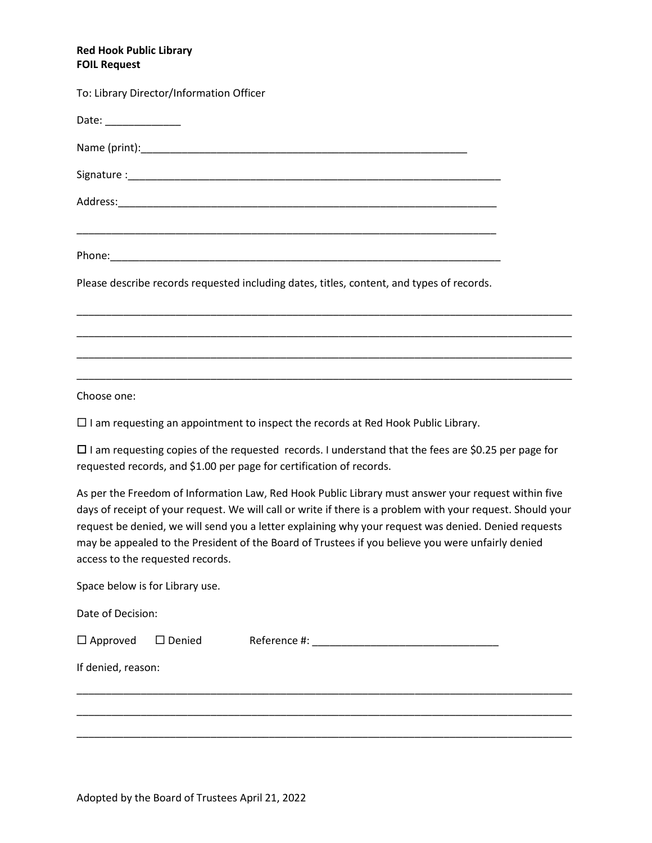## **Red Hook Public Library FOIL Request**

| To: Library Director/Information Officer                                                                              |  |
|-----------------------------------------------------------------------------------------------------------------------|--|
| Date: ______________                                                                                                  |  |
|                                                                                                                       |  |
|                                                                                                                       |  |
|                                                                                                                       |  |
| <u> 1989 - Johann Stoff, deutscher Stoff, der Stoff, der Stoff, der Stoff, der Stoff, der Stoff, der Stoff, der S</u> |  |
| Please describe records requested including dates, titles, content, and types of records.                             |  |
|                                                                                                                       |  |
|                                                                                                                       |  |
|                                                                                                                       |  |

Choose one:

 $\Box$  I am requesting an appointment to inspect the records at Red Hook Public Library.

 $\square$  I am requesting copies of the requested records. I understand that the fees are \$0.25 per page for requested records, and \$1.00 per page for certification of records.

As per the Freedom of Information Law, Red Hook Public Library must answer your request within five days of receipt of your request. We will call or write if there is a problem with your request. Should your request be denied, we will send you a letter explaining why your request was denied. Denied requests may be appealed to the President of the Board of Trustees if you believe you were unfairly denied access to the requested records.

\_\_\_\_\_\_\_\_\_\_\_\_\_\_\_\_\_\_\_\_\_\_\_\_\_\_\_\_\_\_\_\_\_\_\_\_\_\_\_\_\_\_\_\_\_\_\_\_\_\_\_\_\_\_\_\_\_\_\_\_\_\_\_\_\_\_\_\_\_\_\_\_\_\_\_\_\_\_\_\_\_\_\_\_\_

\_\_\_\_\_\_\_\_\_\_\_\_\_\_\_\_\_\_\_\_\_\_\_\_\_\_\_\_\_\_\_\_\_\_\_\_\_\_\_\_\_\_\_\_\_\_\_\_\_\_\_\_\_\_\_\_\_\_\_\_\_\_\_\_\_\_\_\_\_\_\_\_\_\_\_\_\_\_\_\_\_\_\_\_\_

\_\_\_\_\_\_\_\_\_\_\_\_\_\_\_\_\_\_\_\_\_\_\_\_\_\_\_\_\_\_\_\_\_\_\_\_\_\_\_\_\_\_\_\_\_\_\_\_\_\_\_\_\_\_\_\_\_\_\_\_\_\_\_\_\_\_\_\_\_\_\_\_\_\_\_\_\_\_\_\_\_\_\_\_\_

Space below is for Library use.

Date of Decision:

Approved Denied Reference #: \_\_\_\_\_\_\_\_\_\_\_\_\_\_\_\_\_\_\_\_\_\_\_\_\_\_\_\_\_\_\_\_

If denied, reason: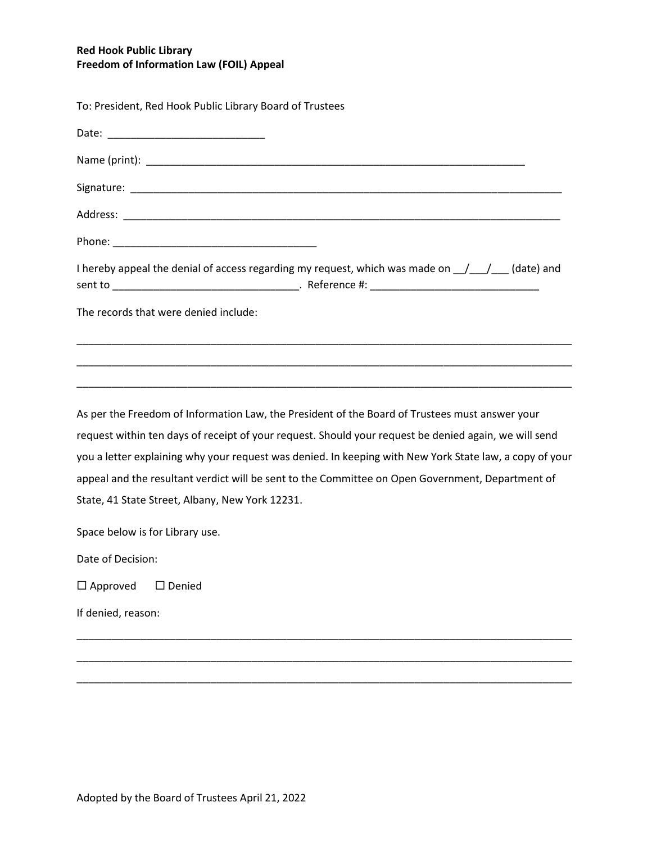## **Red Hook Public Library Freedom of Information Law (FOIL) Appeal**

| To: President, Red Hook Public Library Board of Trustees                                                     |
|--------------------------------------------------------------------------------------------------------------|
|                                                                                                              |
|                                                                                                              |
|                                                                                                              |
|                                                                                                              |
|                                                                                                              |
| I hereby appeal the denial of access regarding my request, which was made on $\frac{1}{\sqrt{2}}$ (date) and |
| The records that were denied include:                                                                        |
| ,我们也不能在这里的时候,我们也不能在这里的时候,我们也不能会在这里,我们也不能会不能会不能会不能会。""我们的人,我们也不能会不能会不能会不能会不能会不能会不                             |
| As per the Freedom of Information Law, the President of the Board of Trustees must answer your               |
| request within ten days of receipt of your request. Should your request be denied again, we will send        |
| you a letter explaining why your request was denied. In keeping with New York State law, a copy of your      |
| appeal and the resultant verdict will be sent to the Committee on Open Government, Department of             |
| State, 41 State Street, Albany, New York 12231.                                                              |
| Space below is for Library use.                                                                              |
| Date of Decision:                                                                                            |

\_\_\_\_\_\_\_\_\_\_\_\_\_\_\_\_\_\_\_\_\_\_\_\_\_\_\_\_\_\_\_\_\_\_\_\_\_\_\_\_\_\_\_\_\_\_\_\_\_\_\_\_\_\_\_\_\_\_\_\_\_\_\_\_\_\_\_\_\_\_\_\_\_\_\_\_\_\_\_\_\_\_\_\_\_

\_\_\_\_\_\_\_\_\_\_\_\_\_\_\_\_\_\_\_\_\_\_\_\_\_\_\_\_\_\_\_\_\_\_\_\_\_\_\_\_\_\_\_\_\_\_\_\_\_\_\_\_\_\_\_\_\_\_\_\_\_\_\_\_\_\_\_\_\_\_\_\_\_\_\_\_\_\_\_\_\_\_\_\_\_

\_\_\_\_\_\_\_\_\_\_\_\_\_\_\_\_\_\_\_\_\_\_\_\_\_\_\_\_\_\_\_\_\_\_\_\_\_\_\_\_\_\_\_\_\_\_\_\_\_\_\_\_\_\_\_\_\_\_\_\_\_\_\_\_\_\_\_\_\_\_\_\_\_\_\_\_\_\_\_\_\_\_\_\_\_

 $\Box$  Approved  $\Box$  Denied

If denied, reason:

Adopted by the Board of Trustees April 21, 2022